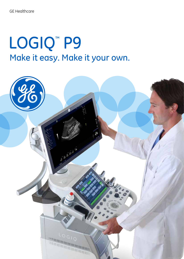# LOGIQ<sup>™</sup> P9 Make it easy. Make it your own.

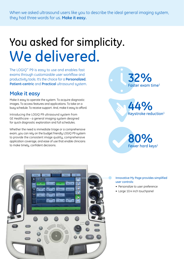When we asked ultrasound users like you to describe the ideal general imaging system, they had three words for us. **Make it easy.**

## You asked for simplicity. We delivered.

The LOGIQ™ P9 is easy to use and enables fast exams through customizable user workflow and productivity tools. It's the choice for a **Personalized**, **Patient-centric** and **Practical** ultrasound system.

## **Make it easy**

Make it easy to operate the system. To acquire diagnostic images. To access features and applications. To take on a busy schedule. To receive support. And, make it easy to afford.

Introducing the LOGIQ P9 ultrasound system from GE Healthcare – a general imaging system designed for quick diagnostic exploration and full schedules.

Whether the need is immediate triage or a comprehensive exam, you can rely on the budget friendly LOGIQ P9 system to provide the consistent image quality, comprehensive application coverage, and ease of use that enable clinicians to make timely, confident decisions.



Keystroke reduction 1 **44%**



#### Innovative My Page provides simplified user controls:

- Personalize to user preference
- Large 10.4 inch touchpanel

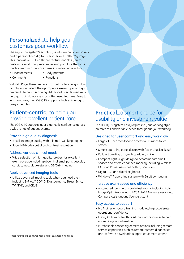## **Personalized**...to help you customize your workflow

The key to the system's simplicity is intuitive console controls and a personalized digital user interface called My Page. This innovative GE Healthcare feature enables you to customize workflow preferences and populate the large touch screen with use case presets you designate including:

- Measurements Body patterns
	-
- Comments Functions
	-

With My Page, there are no extra controls to slow you down. Simply log in, select the appropriate exam type, and you are ready to begin scanning. Additional user defined keys help you quickly access most often used features. Easy to learn and use, the LOGIQ P9 supports high efficiency for busy schedules.

### **Patient-centric**...to help you provide excellent patient care

The LOGIQ P9 supports your diagnostic confidence across a wide range of patient exams.

### Provide high quality diagnosis

- Excellent image quality with minimal tweaking required
- Superb B-Mode spatial and contrast resolution

### Address various clinical needs

• Wide selection of high quality probes for excellent exam coverage including abdominal, small parts, vascular, cardiac, musculoskeletal and OB/GYN imaging

### Apply advanced imaging tools

• Utilize advanced imaging tools when you need them including B-Flow™, 3D/4D, Elastography, Stress Echo, TVI/TVD, and CEUS

## **Practical...**a smart choice for usability and investment value

The LOGIO P9 system easily adjusts to your working style, preferences and variable needs throughout your workday.

### Designed for user comfort and easy workflow

- Large 21.5 inch monitor and accessible 10.4 inch touchscreen
- Simple operating panel design with fewer physical keys<sup>1</sup>
- Fully articulating arm, with up/down/swivel
- Compact, lightweight design to accommodate small spaces and offers enhanced mobility including wireless LAN and Power Assistant battery operation
- Digital TGC and digital keuboard
- Windows® 7 operating system with 64 bit computing

#### Increase exam speed and efficiency

• Automated tools help provide fast exams including Auto Image Optimization, Auto IMT, AutoEF, Measure Assistant, Compare Assistant and Scan Assistant

#### Easy access to support

- My Trainer, on-board training modules, help accelerate operational confidence
- LOGIQ Club website offers educational resources to help optimize system utilization
- Purchasable service agreement options including remote service capabilities such as remote 'system diagnostics' and 'software downloads' support equipment uptime *Please refer to the back page for a list of purchasable options.*